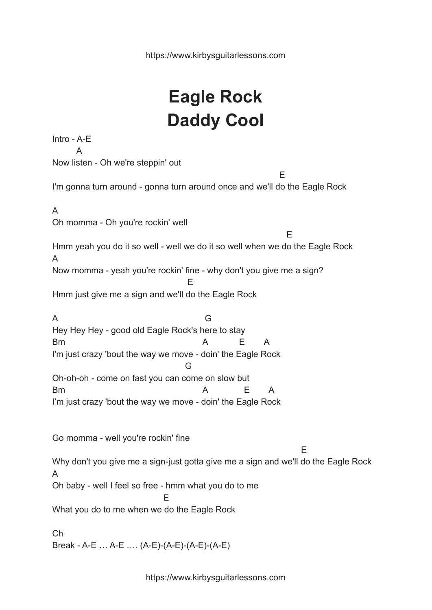https://www.kirbysguitarlessons.com

## **Eagle Rock Daddy Cool**

Intro - A-E A Now listen - Oh we're steppin' out E I'm gonna turn around - gonna turn around once and we'll do the Eagle Rock A Oh momma - Oh you're rockin' well E Hmm yeah you do it so well - well we do it so well when we do the Eagle Rock A Now momma - yeah you're rockin' fine - why don't you give me a sign? E Hmm just give me a sign and we'll do the Eagle Rock A G Hey Hey Hey - good old Eagle Rock's here to stay Bm A E A I'm just crazy 'bout the way we move - doin' the Eagle Rock G Oh-oh-oh - come on fast you can come on slow but Bm A E A I'm just crazy 'bout the way we move - doin' the Eagle Rock Go momma - well you're rockin' fine E Why don't you give me a sign-just gotta give me a sign and we'll do the Eagle Rock A Oh baby - well I feel so free - hmm what you do to me E What you do to me when we do the Eagle Rock Ch Break - A-E … A-E …. (A-E)-(A-E)-(A-E)-(A-E)